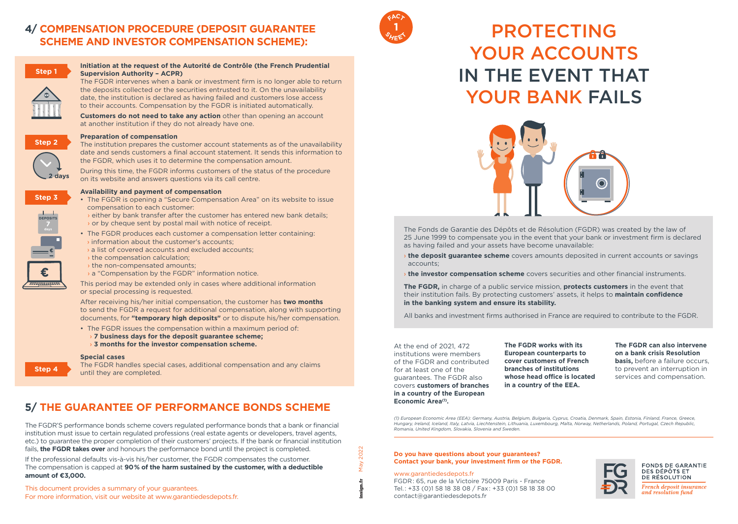# **4/ COMPENSATION PROCEDURE (DEPOSIT GUARANTEE SCHEME AND INVESTOR COMPENSATION SCHEME):**



# **Initiation at the request of the Autorité de Contrôle (the French Prudential Supervision Authority – ACPR)**

The FGDR intervenes when a bank or investment firm is no longer able to return the deposits collected or the securities entrusted to it. On the unavailability date, the institution is declared as having failed and customers lose access to their accounts. Compensation by the FGDR is initiated automatically.

**Customers do not need to take any action** other than opening an account at another institution if they do not already have one.

# **Preparation of compensation**



The institution prepares the customer account statements as of the unavailability date and sends customers a final account statement. It sends this information to the FGDR, which uses it to determine the compensation amount.

During this time, the FGDR informs customers of the status of the procedure on its website and answers questions via its call centre.



**DEPOSITS**

# **Availability and payment of compensation**

- The FGDR is opening a "Secure Compensation Area" on its website to issue compensation to each customer:
	- › either by bank transfer after the customer has entered new bank details; › or by cheque sent by postal mail with notice of receipt.
- The FGDR produces each customer a compensation letter containing:  $\rightarrow$  information about the customer's accounts:
- › a list of covered accounts and excluded accounts;
- › the compensation calculation;
- › the non-compensated amounts;
- › a "Compensation by the FGDR" information notice.

This period may be extended only in cases where additional information or special processing is requested.

After receiving his/her initial compensation, the customer has **two months** to send the FGDR a request for additional compensation, along with supporting documents, for **"temporary high deposits"** or to dispute his/her compensation.

• The FGDR issues the compensation within a maximum period of: › **7 business days for the deposit guarantee scheme;** › **3 months for the investor compensation scheme.** 

#### **Special cases**

The FGDR handles special cases, additional compensation and any claims until they are completed.

# **5/ THE GUARANTEE OF PERFORMANCE BONDS SCHEME**

The FGDR'S performance bonds scheme covers regulated performance bonds that a bank or financial institution must issue to certain regulated professions (real estate agents or developers, travel agents, etc.) to guarantee the proper completion of their customers' projects. If the bank or financial institution fails, **the FGDR takes over** and honours the performance bond until the project is completed. If the professional defaults vis-à-vis his/her customer, the FGDR compensates the customer. The compensation is capped at **90% of the harm sustained by the customer, with a deductible amount of €3,000.**

This document provides a summary of your guarantees. For more information, visit our website at www.garantiedesdepots.fr.



# PROTECTING YOUR ACCOUNTS IN THE EVENT THAT YOUR BANK FAILS



The Fonds de Garantie des Dépôts et de Résolution (FGDR) was created by the law of 25 June 1999 to compensate you in the event that your bank or investment firm is declared as having failed and your assets have become unavailable:

- › **the deposit guarantee scheme** covers amounts deposited in current accounts or savings accounts;
- › **the investor compensation scheme** covers securities and other financial instruments.

**The FGDR,** in charge of a public service mission, **protects customers** in the event that their institution fails. By protecting customers' assets, it helps to **maintain confidence in the banking system and ensure its stability.**

All banks and investment firms authorised in France are required to contribute to the FGDR.

At the end of 2021, 472 institutions were members of the FGDR and contributed for at least one of the guarantees. The FGDR also covers **customers of branches in a country of the European Economic Area(1).** 

**The FGDR works with its European counterparts to cover customers of French branches of institutions whose head office is located in a country of the EEA.**

#### **The FGDR can also intervene on a bank crisis Resolution**

**basis, before a failure occurs.** to prevent an interruption in services and compensation.

*(1) European Economic Area (EEA): Germany, Austria, Belgium, Bulgaria, Cyprus, Croatia, Denmark, Spain, Estonia, Finland, France, Greece, Hungary, Ireland, Iceland, Italy, Latvia, Liechtenstein, Lithuania, Luxembourg, Malta, Norway, Netherlands, Poland, Portugal, Czech Republic, Romania, United Kingdom, Slovakia, Slovenia and Sweden.*

#### **Do you have questions about your guarantees? Contact your bank, your investment firm or the FGDR.**

#### www.garantiedesdepots.fr

FGDR: 65, rue de la Victoire 75009 Paris - France Tel.: +33 (0)1 58 18 38 08 / Fax: +33 (0)1 58 18 38 00 contact@garantiedesdepots.fr



DE RÉSOLUTION French deposit insurance and resolution fund

May 2022 **May** insign.fr

2022



**Step 4**